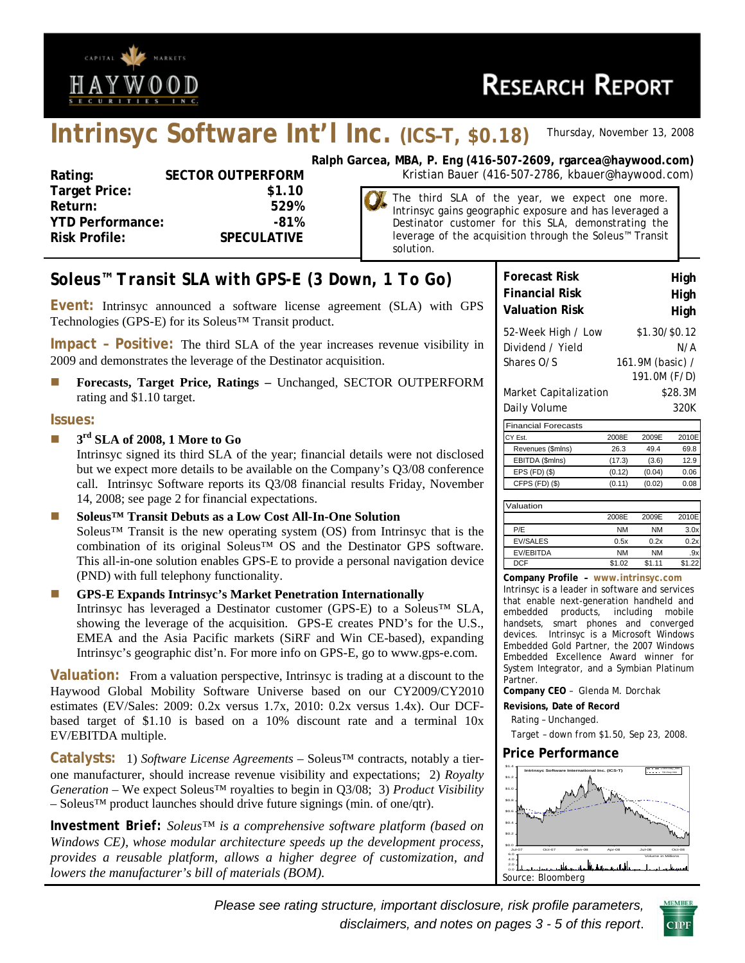

# **Intrinsyc Software Int'l Inc. (ICS–T, \$0.18)** *Thursday, November 13, 2008*

| Rating:                 | <b>SECTOR OUTPERFORM</b> |
|-------------------------|--------------------------|
| <b>Target Price:</b>    | \$1.10                   |
| Return:                 | 529%                     |
| <b>YTD Performance:</b> | -81%                     |
| <b>Risk Profile:</b>    | <b>SPECULATIVE</b>       |
|                         |                          |

**Ralph Garcea, MBA, P. Eng (416-507-2609, rgarcea@haywood.com)** Kristian Bauer (416-507-2786, kbauer@haywood.com)

> The third SLA of the year, we expect one more. Intrinsyc gains geographic exposure and has leveraged a Destinator customer for this SLA, demonstrating the leverage of the acquisition through the Soleus™ Transit solution.

## *Soleus™ Transit SLA with GPS-E (3 Down, 1 To Go)*

**Event:** Intrinsyc announced a software license agreement (SLA) with GPS Technologies (GPS-E) for its Soleus™ Transit product.

**Impact – Positive:** The third SLA of the year increases revenue visibility in 2009 and demonstrates the leverage of the Destinator acquisition.

**Forecasts, Target Price, Ratings – Unchanged, SECTOR OUTPERFORM** rating and \$1.10 target.

#### **Issues:**

**3<sup>rd</sup> SLA of 2008, 1 More to Go** 

Intrinsyc signed its third SLA of the year; financial details were not disclosed but we expect more details to be available on the Company's Q3/08 conference call. Intrinsyc Software reports its Q3/08 financial results Friday, November 14, 2008; see page 2 for financial expectations.

■ Soleus<sup>™</sup> Transit Debuts as a Low Cost All-In-One Solution Soleus™ Transit is the new operating system (OS) from Intrinsyc that is the combination of its original Soleus™ OS and the Destinator GPS software. This all-in-one solution enables GPS-E to provide a personal navigation device (PND) with full telephony functionality.

#### **GPS-E Expands Intrinsyc's Market Penetration Internationally**  Intrinsyc has leveraged a Destinator customer (GPS-E) to a Soleus™ SLA, showing the leverage of the acquisition. GPS-E creates PND's for the U.S.,

EMEA and the Asia Pacific markets (SiRF and Win CE-based), expanding Intrinsyc's geographic dist'n. For more info on GPS-E, go to www.gps-e.com. **Valuation:** From a valuation perspective, Intrinsyc is trading at a discount to the

Haywood Global Mobility Software Universe based on our CY2009/CY2010 estimates (EV/Sales: 2009: 0.2x versus 1.7x, 2010: 0.2x versus 1.4x). Our DCFbased target of \$1.10 is based on a 10% discount rate and a terminal 10x EV/EBITDA multiple.

**Catalysts:** 1) *Software License Agreements* – Soleus™ contracts, notably a tierone manufacturer, should increase revenue visibility and expectations; 2) *Royalty Generation* – We expect Soleus™ royalties to begin in Q3/08; 3) *Product Visibility* – Soleus™ product launches should drive future signings (min. of one/qtr).

*Investment Brief: Soleus™ is a comprehensive software platform (based on Windows CE), whose modular architecture speeds up the development process, provides a reusable platform, allows a higher degree of customization, and lowers the manufacturer's bill of materials (BOM).* 

| <b>Forecast Risk</b>       | High                             |
|----------------------------|----------------------------------|
| <b>Financial Risk</b>      | High                             |
| <b>Valuation Risk</b>      | High                             |
| 52-Week High / Low         | \$1.30/\$0.12                    |
| Dividend / Yield           | N/A                              |
| Shares O/S                 | 161.9M (basic) /<br>191.0M (F/D) |
| Market Capitalization      | \$28.3M                          |
| Daily Volume               | 320K                             |
| <b>Financial Forecasts</b> |                                  |
| CY Est.                    | 2009E<br>2010E<br>2008F          |

| CY Est.           | 2008F  | 2009F  | 2010F |
|-------------------|--------|--------|-------|
| Revenues (\$mlns) | 26.3   | 494    | 69.8  |
| EBITDA (\$mlns)   | (17.3) | (3.6)  | 129   |
| $EPS$ (FD) $(S)$  | (0.12) | (0.04) | 0.06  |
| CFPS (FD) (\$)    | (0.11) | (0.02) | 0. US |
|                   |        |        |       |

| Valuation        |           |           |       |
|------------------|-----------|-----------|-------|
|                  | 2008F     | 2009F     | 2010E |
| P/E              | <b>NM</b> | NM        | 3.0x  |
| <b>EV/SALES</b>  | 0.5x      | 0.2x      | 0.2x  |
| <b>EV/EBITDA</b> | <b>NM</b> | <b>NM</b> |       |
| <b>DCF</b>       | \$1.02    | \$1.11    | \$12  |

**Company Profile – www.intrinsyc.com** Intrinsyc is a leader in software and services that enable next-generation handheld and embedded products, including mobile handsets, smart phones and converged devices. Intrinsyc is a Microsoft Windows Embedded Gold Partner, the 2007 Windows Embedded Excellence Award winner for System Integrator, and a Symbian Platinum Partner.

**Company CEO** – Glenda M. Dorchak

**Revisions, Date of Record** 

Rating – Unchanged.

Target – down from \$1.50, Sep 23, 2008.

#### **Price Performance**



*Please see rating structure, important disclosure, risk profile parameters, disclaimers, and notes on pages 3 - 5 of this report*.

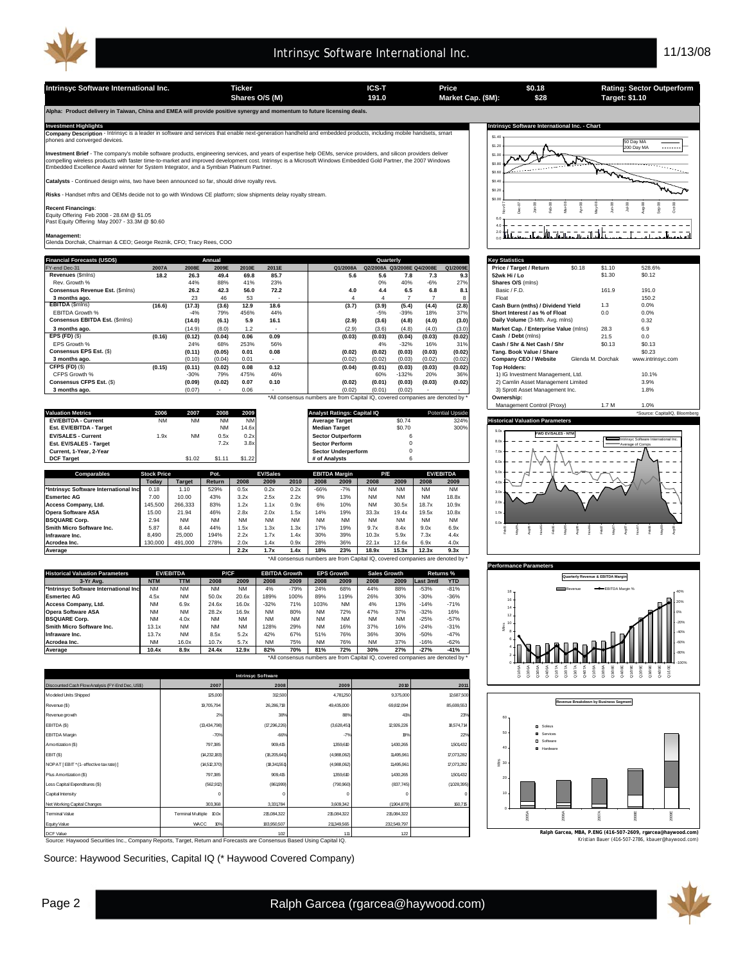

**Intrinsyc Software International Inc. Ticker ICS-T Price Rating: Sector Outperform Shares O/S (M) Market Cap. (\$M): 191.0 Target: \$1.10**

**Alpha: Product delivery in Taiwan, China and EMEA will provide positive synergy and momentum to future licensing deals.** 

**Company Description** - Intrinsyc is a leader in software and services that enable next-generation handheld and embedded products, including mobile handsets, smart<br>phones and converged devices.

**Investment Brief** - The company's mobile software products, engineering services, and years of expertise help OEMs, service providers, and silicon providers deliver<br>compelling wireless products with faster time-to-market

**Catalysts** - Continued design wins, two have been announced so far, should drive royalty revs.

**Risks** - Handset mftrs and OEMs decide not to go with Windows CE platform; slow shipments delay royalty stream.

**Recent Financings**:<br>Equity Offering Feb 2008 - 28.6M @ \$1.05<br>Past Equity Offering May 2007 - 33.3M @ \$0.60

**Management:** Glenda Dorchak, Chairman & CEO; George Reznik, CFO; Tracy Rees, COO

| <b>Financial Forecasts (USD\$)</b> |        |        | Annual |       |                          |                                                                                |        | Quarterly                  |        |          | <b>Key Statistics</b>                 |                   |                   |  |  |
|------------------------------------|--------|--------|--------|-------|--------------------------|--------------------------------------------------------------------------------|--------|----------------------------|--------|----------|---------------------------------------|-------------------|-------------------|--|--|
| FY-end Dec-31                      | 2007A  | 2008E  | 2009E  | 2010E | 2011E                    | Q1/2008A                                                                       |        | Q2/2008A Q3/2008E Q4/2008E |        | Q1/2009E | \$0.18<br>Price / Target / Return     | \$1.10            | 528.6%            |  |  |
| Revenues (\$mins)                  | 18.2   | 26.3   | 49.4   | 69.8  | 85.7                     | 5.6                                                                            | 5.6    | 7.8                        | 7.3    | 9.3      | 52wk Hi / Lo                          | \$1.30            | \$0.12            |  |  |
| Rev. Growth %                      |        | 44%    | 88%    | 41%   | 23%                      |                                                                                | 0%     | 40%                        | $-6%$  | 27%      | Shares O/S (mlns)                     |                   |                   |  |  |
| Consensus Revenue Est. (\$mins)    |        | 26.2   | 42.3   | 56.0  | 72.2                     | 4.0                                                                            | 4.4    | 6.5                        | 6.8    | 8.1      | Basic / F.D.                          | 161.9             | 191.0             |  |  |
| 3 months ago.                      |        | 23     | 46     | 53    |                          |                                                                                |        |                            |        |          | Float                                 |                   | 150.2             |  |  |
| EBITDA (\$mins)                    | (16.6) | (17.3) | (3.6)  | 12.9  | 18.6                     | (3.7)                                                                          | (3.9)  | (5.4)                      | (4.4)  | (2.8)    | Cash Burn (mths) / Dividend Yield     | 1.3               | 0.0%              |  |  |
| EBITDA Growth %                    |        | $-4%$  | 79%    | 456%  | 44%                      |                                                                                | $-5%$  | $-39%$                     | 18%    | 37%      | Short Interest / as % of Float        | 0.0               | 0.0%              |  |  |
| Consensus EBITDA Est. (\$mins)     |        | (14.0) | (6.1)  | 5.9   | 16.1                     | (2.9)                                                                          | (3.6)  | (4.8)                      | (4.0)  | (3.0)    | Daily Volume (3-Mth. Avg. mlns)       |                   | 0.32              |  |  |
| 3 months ago.                      |        | (14.9) | (8.0)  | 1.2   | $\overline{\phantom{a}}$ | (2.9)                                                                          | (3.6)  | (4.8)                      | (4.0)  | (3.0)    | Market Cap. / Enterprise Value (mlns) | 28.3              | 6.9               |  |  |
| EPS $(FD)$ $(\$)$                  | (0.16) | (0.12) | (0.04) | 0.06  | 0.09                     | (0.03)                                                                         | (0.03) | (0.04)                     | (0.03) | (0.02)   | Cash / Debt (mins)                    | 21.5              | 0.0               |  |  |
| EPS Growth %                       |        | 24%    | 68%    | 253%  | 56%                      |                                                                                | 4%     | $-32%$                     | 16%    | 31%      | Cash / Shr & Net Cash / Shr           | \$0.13            | \$0.13            |  |  |
| Consensus EPS Est. (\$)            |        | (0.11) | (0.05) | 0.01  | 0.08                     | (0.02)                                                                         | (0.02) | (0.03)                     | (0.03) | (0.02)   | Tang, Book Value / Share              |                   | \$0.23            |  |  |
| 3 months ago.                      |        | (0.10) | (0.04) | 0.01  |                          | (0.02)                                                                         | (0.02) | (0.03)                     | (0.02) | (0.02)   | Company CEO / Website                 | Glenda M. Dorchak | www.intrinsyc.com |  |  |
| CFPS (FD) (\$)                     | (0.15) | (0.11) | (0.02) | 0.08  | 0.12                     | (0.04)                                                                         | (0.01) | (0.03)                     | (0.03) | (0.02)   | <b>Top Holders:</b>                   |                   |                   |  |  |
| CFPS Growth %                      |        | $-30%$ | 79%    | 475%  | 46%                      |                                                                                | 60%    | $-132%$                    | 20%    | 36%      | 1) IG Investment Management, Ltd.     |                   | 10.1%             |  |  |
| Consensus CFPS Est. (\$)           |        | (0.09) | (0.02) | 0.07  | 0.10                     | (0.02)                                                                         | (0.01) | (0.03)                     | (0.03) | (0.02)   | 2) Camlin Asset Management Limited    |                   | 3.9%              |  |  |
| 3 months ago.                      |        | (0.07) |        | 0.06  |                          | (0.02)                                                                         | (0.01) | (0.02)                     |        |          | 3) Sprott Asset Management Inc.       |                   | 1.8%              |  |  |
|                                    |        |        |        |       |                          | *All consensus numbers are from Capital IQ, covered companies are denoted by * |        |                            |        |          | Ownership:                            |                   |                   |  |  |

|                                       |                    |           |           |           |                 |           |                                    |                            |           |           |           |                         | <b>Management Control (FIGAY)</b>      |  |
|---------------------------------------|--------------------|-----------|-----------|-----------|-----------------|-----------|------------------------------------|----------------------------|-----------|-----------|-----------|-------------------------|----------------------------------------|--|
| <b>Valuation Metrics</b>              | 2006               | 2007      | 2008      | 2009      |                 |           | <b>Analyst Ratings: Capital IQ</b> |                            |           |           |           | <b>Potential Upside</b> |                                        |  |
| <b>EV/EBITDA - Current</b>            | <b>NM</b>          | <b>NM</b> | <b>NM</b> | <b>NM</b> |                 |           |                                    | <b>Average Target</b>      |           | \$0.74    |           | 324%                    | <b>Historical Valuation Parameters</b> |  |
| Est. EV/EBITDA - Target               |                    |           | <b>NM</b> | 14.6x     |                 |           | <b>Median Target</b>               |                            |           | \$0.70    |           | 300%                    |                                        |  |
| <b>EV/SALES - Current</b>             | 1.9x               | <b>NM</b> | 0.5x      | 0.2x      |                 |           |                                    | <b>Sector Outperform</b>   |           |           |           |                         | <b>FWD EV/SALES - NTM</b>              |  |
| Est. EV/SALES - Target                |                    |           | 7.2x      | 3.8x      |                 |           |                                    | <b>Sector Perform</b>      |           |           |           |                         |                                        |  |
| Current. 1-Year. 2-Year               |                    |           |           |           |                 |           |                                    | <b>Sector Underperform</b> |           |           |           |                         |                                        |  |
| <b>DCF Target</b>                     |                    | \$1.02    | \$1.11    | \$1.22    |                 |           | # of Analysts                      |                            |           |           |           |                         |                                        |  |
|                                       |                    |           |           |           |                 |           |                                    |                            |           |           |           |                         |                                        |  |
| Comparables                           | <b>Stock Price</b> |           | Pot.      |           | <b>EV/Sales</b> |           |                                    | <b>EBITDA Margin</b>       |           | P/E       |           | <b>EV/EBITDA</b>        | 5.0x                                   |  |
|                                       | Todav              | Target    | Return    | 2008      | 2009            | 2010      | 2008                               | 2009                       | 2008      | 2009      | 2008      | 2009                    | 4.0x                                   |  |
| *Intrinsyc Software International Inc | 0.18               | 1.10      | 529%      | 0.5x      | 0.2x            | 0.2x      | $-66%$                             | $-7%$                      | <b>NM</b> | <b>NM</b> | <b>NM</b> | <b>NM</b>               | 3.0x                                   |  |
| <b>Esmertec AG</b>                    | 7.00               | 10.00     | 43%       | 3.2x      | 2.5x            | 2.2x      | 9%                                 | 13%                        | <b>NM</b> | <b>NM</b> | <b>NM</b> | 18.8x                   |                                        |  |
| Access Company, Ltd.                  | 145,500            | 266,333   | 83%       | 1.2x      | 1.1x            | 0.9x      | 6%                                 | 10%                        | <b>NM</b> | 30.5x     | 18.7x     | 10.9x                   | 2.0x                                   |  |
| <b>Opera Software ASA</b>             | 15.00              | 21.94     | 46%       | 2.8x      | 2.0x            | 1.5x      | 14%                                | 19%                        | 33.3x     | 19.4x     | 19.5x     | 10.8x                   | 1.0x                                   |  |
| <b>BSQUARE Corp.</b>                  | 2.94               | <b>NM</b> | <b>NM</b> | <b>NM</b> | <b>NM</b>       | <b>NM</b> | <b>NM</b>                          | <b>NM</b>                  | <b>NM</b> | <b>NM</b> | <b>NM</b> | <b>NM</b>               | 0.0x                                   |  |
| Smith Micro Software Inc.             | 5.87               | 8.44      | 44%       | 1.5x      | 1.3x            | 1.3x      | 17%                                | 19%                        | 9.7x      | 8.4x      | 9.0x      | 6.9x                    |                                        |  |
| Infraware Inc.                        | 8.490              | 25,000    | 194%      | 2.2x      | 1.7x            | 1.4x      | 30%                                | 39%                        | 10.3x     | 5.9x      | 7.3x      | 4.4x                    |                                        |  |
| Acrodea Inc.                          | 130,000            | 491,000   | 278%      | 2.0x      | 1.4x            | 0.9x      | 28%                                | 36%                        | 22.1x     | 12.6x     | 6.9x      | 4.0x                    |                                        |  |

**Average 2.2x 1.7x 1.4x 18% 23% 18.9x 15.3x 12.3x 9.3x** \*All consensus numbers are from Capital IQ, covered companies are denoted by \*

|                                       |            | <b>EV/EBITDA</b> | P/CF      |           | <b>EBITDA Growth</b> |           |           | <b>EPS Growth</b> | <b>Sales Growth</b> |           |                  | Returns %  |
|---------------------------------------|------------|------------------|-----------|-----------|----------------------|-----------|-----------|-------------------|---------------------|-----------|------------------|------------|
| 3-Yr Ava.                             | <b>NTM</b> | <b>TTM</b>       | 2008      | 2009      | 2008                 | 2009      | 2008      | 2009              | 2008                | 2009      | <b>Last 3mtl</b> | <b>YTD</b> |
| *Intrinsvc Software International Inc | <b>NM</b>  | <b>NM</b>        | <b>NM</b> | <b>NM</b> | 4%                   | $-79%$    | 24%       | 68%               | 44%                 | 88%       | $-53%$           | $-81%$     |
| <b>Esmertec AG</b>                    | 4.5x       | <b>NM</b>        | 50.0x     | 20.6x     | 189%                 | 100%      | 89%       | 119%              | 26%                 | 30%       | $-30%$           | $-36%$     |
| Access Company, Ltd.                  | <b>NM</b>  | 6.9x             | 24.6x     | 16.0x     | $-32%$               | 71%       | 103%      | <b>NM</b>         | 4%                  | 13%       | $-14%$           | $-71%$     |
| <b>Opera Software ASA</b>             | <b>NM</b>  | <b>NM</b>        | 28.2x     | 16.9x     | <b>NM</b>            | 80%       | <b>NM</b> | 72%               | 47%                 | 37%       | $-32%$           | 16%        |
| <b>BSQUARE Corp.</b>                  | <b>NM</b>  | 4.0x             | <b>NM</b> | <b>NM</b> | <b>NM</b>            | <b>NM</b> | <b>NM</b> | <b>NM</b>         | <b>NM</b>           | <b>NM</b> | $-25%$           | $-57%$     |
| Smith Micro Software Inc.             | 13.1x      | <b>NM</b>        | <b>NM</b> | <b>NM</b> | 128%                 | 29%       | <b>NM</b> | 16%               | 37%                 | 16%       | $-24%$           | $-31%$     |
| Infraware Inc.                        | 13.7x      | <b>NM</b>        | 8.5x      | 5.2x      | 42%                  | 67%       | 51%       | 76%               | 36%                 | 30%       | $-50%$           | $-47%$     |
| Acrodea Inc.                          | <b>NM</b>  | 16.0x            | 10.7x     | 5.7x      | <b>NM</b>            | 75%       | <b>NM</b> | 76%               | <b>NM</b>           | 37%       | $-16%$           | $-62%$     |
| Average                               | 10.4x      | 8.9x             | 24.4x     | 12.9x     | 82%                  | 70%       | 81%       | 72%               | 30%                 | 27%       | $-27%$           | $-41%$     |

\*All consensus numbers are from Capital IQ, covered companies are denoted by \*

| <b>Intrinsyc Software</b>                        |                            |              |             |             |             |  |  |  |
|--------------------------------------------------|----------------------------|--------------|-------------|-------------|-------------|--|--|--|
| Discounted Cash Flow Analysis (FY-End Dec, US\$) | 2007                       | 2008         | 2009        | 2010        | 2011        |  |  |  |
| Modeled Units Shipped                            | 125,000                    | 312,500      | 4,781,250   | 9,375,000   | 12,687,500  |  |  |  |
| Revenue (\$)                                     | 19,705,794                 | 26,286,718   | 49,435,000  | 69,812,094  | 85,699,553  |  |  |  |
| Revenue growth                                   | 2%                         | 38%          | 88%         | 41%         | 23%         |  |  |  |
| EBITDA (\$)                                      | (13, 434, 798)             | (7,296,226)  | (3,628,451) | 12,926,226  | 18,574,714  |  |  |  |
| <b>EBITDA Margin</b>                             | $-70%$                     | $-66%$       | $-7%$       | 19%         | 22%         |  |  |  |
| Amortization (\$)                                | 797,385                    | 909,415      | 1359,610    | 1430,265    | 1501432     |  |  |  |
| EBIT(\$)                                         | (14,232,183)               | (18,205,641) | (4,988,062) | 11495,961   | 17,073,282  |  |  |  |
| NOPAT [ EBIT * (1- effective tax rate) ]         | (14,512,370)               | (18,341,551) | (4,988,062) | 11495,961   | 17,073,282  |  |  |  |
| Plus Amortization (\$)                           | 797,385                    | 909,415      | 1359,610    | 1430,265    | 1501432     |  |  |  |
| Less Capital Expenditures (\$)                   | (562, 912)                 | (861999)     | (790, 960)  | (837,745)   | (1028, 395) |  |  |  |
| Capital Intensity                                | $^{\circ}$                 | C            | $\Omega$    | $\Omega$    | $\circ$     |  |  |  |
| Net Working Capital Changes                      | 303,368                    | 3,331,784    | 3,609,342   | (1904, 879) | 160,715     |  |  |  |
| <b>Terminal Value</b>                            | Terminal Multiple<br>10.0x | 215,084,322  | 215,084,322 | 215,084,322 |             |  |  |  |
| Equity Value                                     | WACC<br>10%                | 183,950,507  | 211349.565  | 232,549.797 |             |  |  |  |
| DCF Value                                        |                            | 102          | 111         | 122         |             |  |  |  |

10CF Value 11 | 111 | 122<br>Source: Haywood Securities Inc., Company Reports, Target, Return and Forecasts are Consensus Based Using Capital IQ.

Source: Haywood Securities, Capital IQ (\* Haywood Covered Company)



**\$0.18 \$28**

| <b>Key Statistics</b>                 |        |                   |                   |
|---------------------------------------|--------|-------------------|-------------------|
| Price / Target / Return               | \$0.18 | \$1.10            | 528.6%            |
| 52wk Hi / Lo                          |        | \$1.30            | \$0.12            |
| Shares O/S (mlns)                     |        |                   |                   |
| Basic / F.D.                          |        | 161.9             | 191.0             |
| Float                                 |        |                   | 150.2             |
| Cash Burn (mths) / Dividend Yield     |        | 1.3               | 0.0%              |
| Short Interest / as % of Float        |        | 0.0               | 0.0%              |
| Daily Volume (3-Mth. Avg. mlns)       |        |                   | 0.32              |
| Market Cap. / Enterprise Value (mlns) |        | 28.3              | 6.9               |
| Cash / Debt (mlns)                    |        | 21.5              | 0.0               |
| Cash / Shr & Net Cash / Shr           |        | \$0.13            | \$0.13            |
| Tang, Book Value / Share              |        |                   | \$0.23            |
| Company CEO / Website                 |        | Glenda M. Dorchak | www.intrinsyc.com |
| <b>Top Holders:</b>                   |        |                   |                   |
| 1) IG Investment Management, Ltd.     | 10.1%  |                   |                   |
| 2) Camlin Asset Management Limited    | 3.9%   |                   |                   |
| 3) Sprott Asset Management Inc.       | 1.8%   |                   |                   |
| Ownership:                            |        |                   |                   |
| Management Control (Proxy)            |        | 1.7 M             | 1.0%              |







Kristian Bauer (416-507-2786, kbauer@haywood.com) **Ralph Garcea, MBA, P.ENG (416-507-2609, rgarcea@haywood.com)**

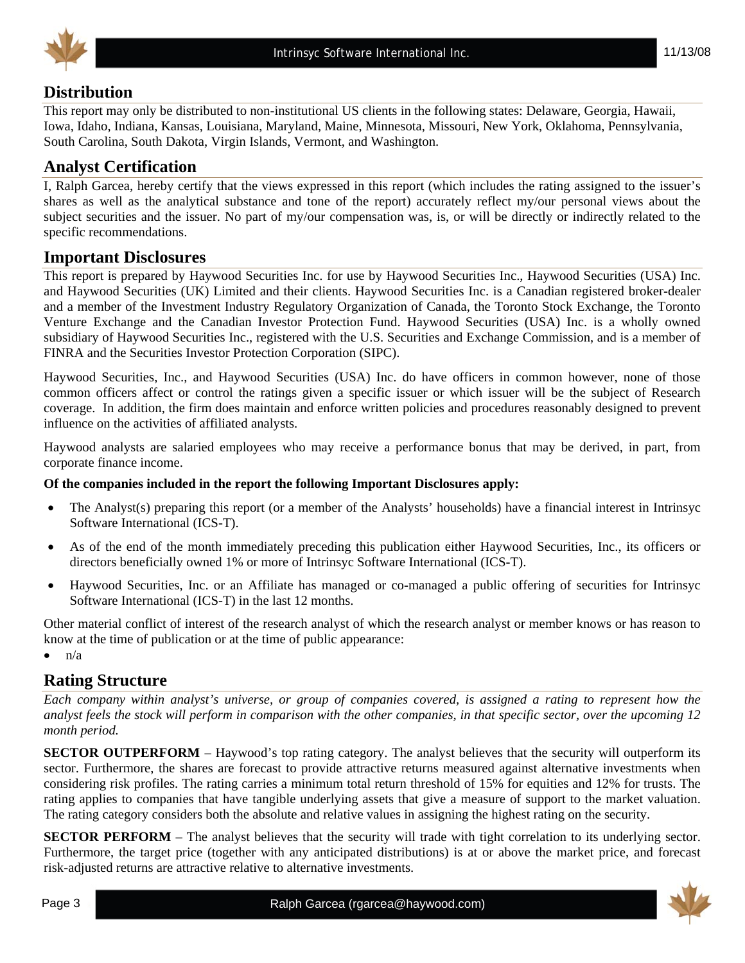



### **Distribution**

This report may only be distributed to non-institutional US clients in the following states: Delaware, Georgia, Hawaii, Iowa, Idaho, Indiana, Kansas, Louisiana, Maryland, Maine, Minnesota, Missouri, New York, Oklahoma, Pennsylvania, South Carolina, South Dakota, Virgin Islands, Vermont, and Washington.

### **Analyst Certification**

I, Ralph Garcea, hereby certify that the views expressed in this report (which includes the rating assigned to the issuer's shares as well as the analytical substance and tone of the report) accurately reflect my/our personal views about the subject securities and the issuer. No part of my/our compensation was, is, or will be directly or indirectly related to the specific recommendations.

#### **Important Disclosures**

This report is prepared by Haywood Securities Inc. for use by Haywood Securities Inc., Haywood Securities (USA) Inc. and Haywood Securities (UK) Limited and their clients. Haywood Securities Inc. is a Canadian registered broker-dealer and a member of the Investment Industry Regulatory Organization of Canada, the Toronto Stock Exchange, the Toronto Venture Exchange and the Canadian Investor Protection Fund. Haywood Securities (USA) Inc. is a wholly owned subsidiary of Haywood Securities Inc., registered with the U.S. Securities and Exchange Commission, and is a member of FINRA and the Securities Investor Protection Corporation (SIPC).

Haywood Securities, Inc., and Haywood Securities (USA) Inc. do have officers in common however, none of those common officers affect or control the ratings given a specific issuer or which issuer will be the subject of Research coverage. In addition, the firm does maintain and enforce written policies and procedures reasonably designed to prevent influence on the activities of affiliated analysts.

Haywood analysts are salaried employees who may receive a performance bonus that may be derived, in part, from corporate finance income.

#### **Of the companies included in the report the following Important Disclosures apply:**

- The Analyst(s) preparing this report (or a member of the Analysts' households) have a financial interest in Intrinsyc Software International (ICS-T).
- As of the end of the month immediately preceding this publication either Haywood Securities, Inc., its officers or directors beneficially owned 1% or more of Intrinsyc Software International (ICS-T).
- Haywood Securities, Inc. or an Affiliate has managed or co-managed a public offering of securities for Intrinsyc Software International (ICS-T) in the last 12 months.

Other material conflict of interest of the research analyst of which the research analyst or member knows or has reason to know at the time of publication or at the time of public appearance:

 $n/a$ 

#### **Rating Structure**

*Each company within analyst's universe, or group of companies covered, is assigned a rating to represent how the analyst feels the stock will perform in comparison with the other companies, in that specific sector, over the upcoming 12 month period.* 

**SECTOR OUTPERFORM** – Haywood's top rating category. The analyst believes that the security will outperform its sector. Furthermore, the shares are forecast to provide attractive returns measured against alternative investments when considering risk profiles. The rating carries a minimum total return threshold of 15% for equities and 12% for trusts. The rating applies to companies that have tangible underlying assets that give a measure of support to the market valuation. The rating category considers both the absolute and relative values in assigning the highest rating on the security.

**SECTOR PERFORM** – The analyst believes that the security will trade with tight correlation to its underlying sector. Furthermore, the target price (together with any anticipated distributions) is at or above the market price, and forecast risk-adjusted returns are attractive relative to alternative investments.

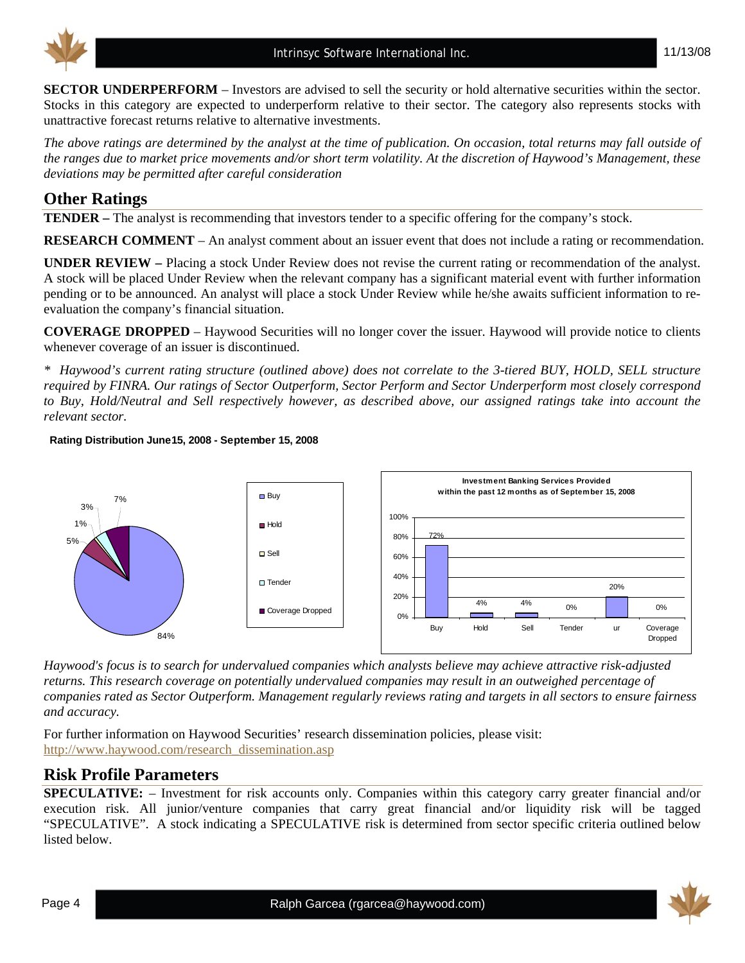



**SECTOR UNDERPERFORM** – Investors are advised to sell the security or hold alternative securities within the sector. Stocks in this category are expected to underperform relative to their sector. The category also represents stocks with unattractive forecast returns relative to alternative investments.

*The above ratings are determined by the analyst at the time of publication. On occasion, total returns may fall outside of the ranges due to market price movements and/or short term volatility. At the discretion of Haywood's Management, these deviations may be permitted after careful consideration* 

#### **Other Ratings**

**TENDER –** The analyst is recommending that investors tender to a specific offering for the company's stock.

**RESEARCH COMMENT** – An analyst comment about an issuer event that does not include a rating or recommendation.

**UNDER REVIEW –** Placing a stock Under Review does not revise the current rating or recommendation of the analyst. A stock will be placed Under Review when the relevant company has a significant material event with further information pending or to be announced. An analyst will place a stock Under Review while he/she awaits sufficient information to reevaluation the company's financial situation.

**COVERAGE DROPPED** – Haywood Securities will no longer cover the issuer. Haywood will provide notice to clients whenever coverage of an issuer is discontinued.

*\* Haywood's current rating structure (outlined above) does not correlate to the 3-tiered BUY, HOLD, SELL structure required by FINRA. Our ratings of Sector Outperform, Sector Perform and Sector Underperform most closely correspond to Buy, Hold/Neutral and Sell respectively however, as described above, our assigned ratings take into account the relevant sector.* 

#### **Rating Distribution June15, 2008 - September 15, 2008**



*Haywood's focus is to search for undervalued companies which analysts believe may achieve attractive risk-adjusted returns. This research coverage on potentially undervalued companies may result in an outweighed percentage of companies rated as Sector Outperform. Management regularly reviews rating and targets in all sectors to ensure fairness and accuracy.* 

For further information on Haywood Securities' research dissemination policies, please visit: [http://www.haywood.com/research\\_dissemination.asp](http://www.haywood.com/research_dissemination.asp) 

#### **Risk Profile Parameters**

**SPECULATIVE:** – Investment for risk accounts only. Companies within this category carry greater financial and/or execution risk. All junior/venture companies that carry great financial and/or liquidity risk will be tagged "SPECULATIVE". A stock indicating a SPECULATIVE risk is determined from sector specific criteria outlined below listed below.